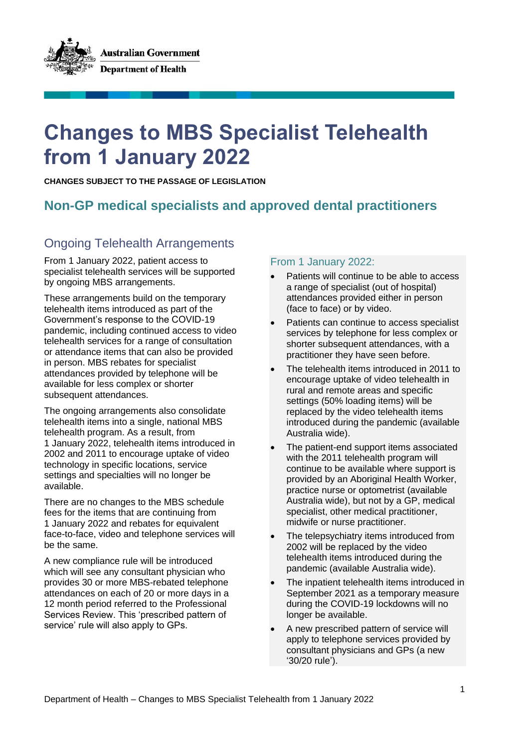**Australian Government Department of Health** 

# **Changes to MBS Specialist Telehealth from 1 January 2022**

**CHANGES SUBJECT TO THE PASSAGE OF LEGISLATION**

# **Non-GP medical specialists and approved dental practitioners**

# Ongoing Telehealth Arrangements

From 1 January 2022, patient access to specialist telehealth services will be supported by ongoing MBS arrangements.

These arrangements build on the temporary telehealth items introduced as part of the Government's response to the COVID-19 pandemic, including continued access to video telehealth services for a range of consultation or attendance items that can also be provided in person. MBS rebates for specialist attendances provided by telephone will be available for less complex or shorter subsequent attendances.

The ongoing arrangements also consolidate telehealth items into a single, national MBS telehealth program. As a result, from 1 January 2022, telehealth items introduced in 2002 and 2011 to encourage uptake of video technology in specific locations, service settings and specialties will no longer be available.

There are no changes to the MBS schedule fees for the items that are continuing from 1 January 2022 and rebates for equivalent face-to-face, video and telephone services will be the same.

A new compliance rule will be introduced which will see any consultant physician who provides 30 or more MBS-rebated telephone attendances on each of 20 or more days in a 12 month period referred to the Professional Services Review. This 'prescribed pattern of service' rule will also apply to GPs.

## From 1 January 2022:

- Patients will continue to be able to access a range of specialist (out of hospital) attendances provided either in person (face to face) or by video.
- Patients can continue to access specialist services by telephone for less complex or shorter subsequent attendances, with a practitioner they have seen before.
- The telehealth items introduced in 2011 to encourage uptake of video telehealth in rural and remote areas and specific settings (50% loading items) will be replaced by the video telehealth items introduced during the pandemic (available Australia wide).
- The patient-end support items associated with the 2011 telehealth program will continue to be available where support is provided by an Aboriginal Health Worker, practice nurse or optometrist (available Australia wide), but not by a GP, medical specialist, other medical practitioner, midwife or nurse practitioner.
- The telepsychiatry items introduced from 2002 will be replaced by the video telehealth items introduced during the pandemic (available Australia wide).
- The inpatient telehealth items introduced in September 2021 as a temporary measure during the COVID-19 lockdowns will no longer be available.
- A new prescribed pattern of service will apply to telephone services provided by consultant physicians and GPs (a new '30/20 rule').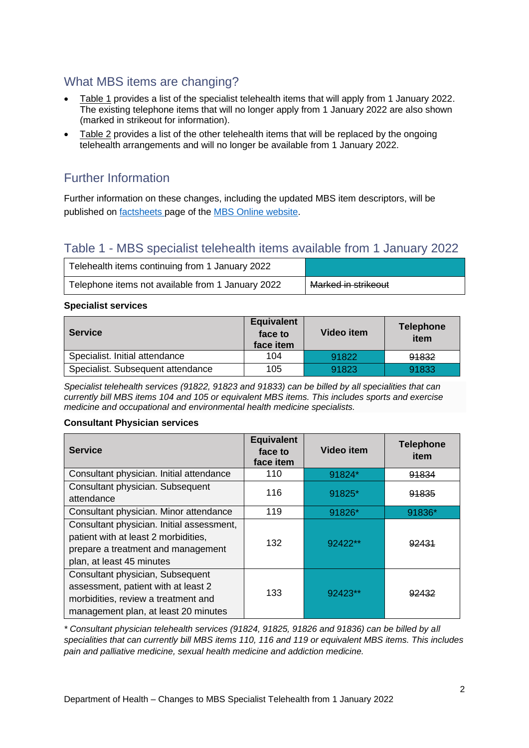# What MBS items are changing?

- Table 1 provides a list of the specialist telehealth items that will apply from 1 January 2022. The existing telephone items that will no longer apply from 1 January 2022 are also shown (marked in strikeout for information).
- Table 2 provides a list of the other telehealth items that will be replaced by the ongoing telehealth arrangements and will no longer be available from 1 January 2022.

# Further Information

Further information on these changes, including the updated MBS item descriptors, will be published on factsheets page of the MBS Online website.

## Table 1 - MBS specialist telehealth items available from 1 January 2022

| Telehealth items continuing from 1 January 2022   |                     |
|---------------------------------------------------|---------------------|
| Telephone items not available from 1 January 2022 | Marked in strikeout |

#### **Specialist services**

| <b>Service</b>                    | <b>Equivalent</b><br>face to<br>face item | Video item | <b>Telephone</b><br>item |
|-----------------------------------|-------------------------------------------|------------|--------------------------|
| Specialist. Initial attendance    | 104                                       | 91822      | 91832                    |
| Specialist. Subsequent attendance | 105                                       | 91823      | 91833                    |

*Specialist telehealth services (91822, 91823 and 91833) can be billed by all specialities that can currently bill MBS items 104 and 105 or equivalent MBS items. This includes sports and exercise medicine and occupational and environmental health medicine specialists.*

## **Consultant Physician services**

| <b>Service</b>                                                                                                                                         | <b>Equivalent</b><br>face to<br>face item | <b>Video item</b> | <b>Telephone</b><br>item |
|--------------------------------------------------------------------------------------------------------------------------------------------------------|-------------------------------------------|-------------------|--------------------------|
| Consultant physician. Initial attendance                                                                                                               | 110                                       | 91824*            | 91834                    |
| Consultant physician. Subsequent<br>attendance                                                                                                         | 116                                       | 91825*            | 91835                    |
| Consultant physician. Minor attendance                                                                                                                 | 119                                       | 91826*            | 91836*                   |
| Consultant physician. Initial assessment,<br>patient with at least 2 morbidities,<br>prepare a treatment and management<br>plan, at least 45 minutes   | 132                                       | 92422**           | 92431                    |
| Consultant physician, Subsequent<br>assessment, patient with at least 2<br>morbidities, review a treatment and<br>management plan, at least 20 minutes | 133                                       | 92423**           |                          |

*\* Consultant physician telehealth services (91824, 91825, 91826 and 91836) can be billed by all specialities that can currently bill MBS items 110, 116 and 119 or equivalent MBS items. This includes pain and palliative medicine, sexual health medicine and addiction medicine.*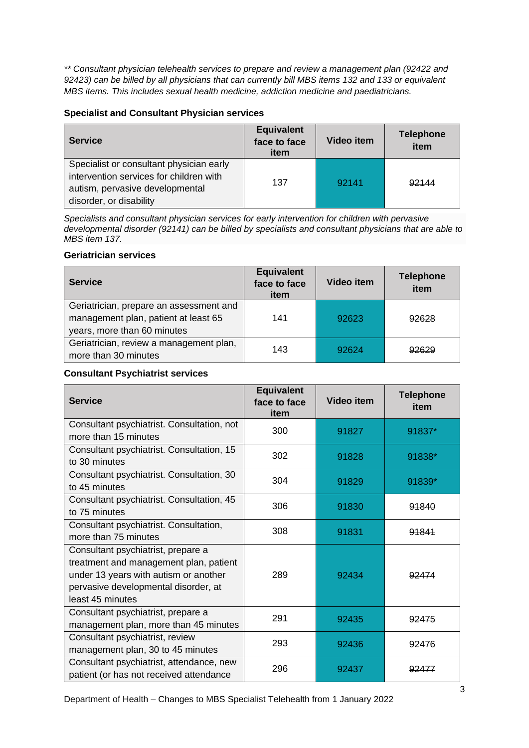*\*\* Consultant physician telehealth services to prepare and review a management plan (92422 and 92423) can be billed by all physicians that can currently bill MBS items 132 and 133 or equivalent MBS items. This includes sexual health medicine, addiction medicine and paediatricians.*

#### **Specialist and Consultant Physician services**

| <b>Service</b>                                                                                                                                    | <b>Equivalent</b><br>face to face<br>item | Video item | <b>Telephone</b><br>item |
|---------------------------------------------------------------------------------------------------------------------------------------------------|-------------------------------------------|------------|--------------------------|
| Specialist or consultant physician early<br>intervention services for children with<br>autism, pervasive developmental<br>disorder, or disability | 137                                       | 92141      | 92144                    |

*Specialists and consultant physician services for early intervention for children with pervasive developmental disorder (92141) can be billed by specialists and consultant physicians that are able to MBS item 137.*

#### **Geriatrician services**

| <b>Service</b>                                                                                                 | <b>Equivalent</b><br>face to face<br>item | <b>Video item</b> | <b>Telephone</b><br>item |
|----------------------------------------------------------------------------------------------------------------|-------------------------------------------|-------------------|--------------------------|
| Geriatrician, prepare an assessment and<br>management plan, patient at least 65<br>years, more than 60 minutes | 141                                       | 92623             | 92628                    |
| Geriatrician, review a management plan,<br>more than 30 minutes                                                | 143                                       | 92624             | 92629                    |

#### **Consultant Psychiatrist services**

| <b>Service</b>                                                                                                                                                                    | <b>Equivalent</b><br>face to face<br>item | <b>Video item</b> | <b>Telephone</b><br>item |
|-----------------------------------------------------------------------------------------------------------------------------------------------------------------------------------|-------------------------------------------|-------------------|--------------------------|
| Consultant psychiatrist. Consultation, not<br>more than 15 minutes                                                                                                                | 300                                       | 91827             | 91837*                   |
| Consultant psychiatrist. Consultation, 15<br>to 30 minutes                                                                                                                        | 302                                       | 91828             | 91838*                   |
| Consultant psychiatrist. Consultation, 30<br>to 45 minutes                                                                                                                        | 304                                       | 91829             | 91839*                   |
| Consultant psychiatrist. Consultation, 45<br>to 75 minutes                                                                                                                        | 306                                       | 91830             | 91840                    |
| Consultant psychiatrist. Consultation,<br>more than 75 minutes                                                                                                                    | 308                                       | 91831             | 91841                    |
| Consultant psychiatrist, prepare a<br>treatment and management plan, patient<br>under 13 years with autism or another<br>pervasive developmental disorder, at<br>least 45 minutes | 289                                       | 92434             | 92474                    |
| Consultant psychiatrist, prepare a<br>management plan, more than 45 minutes                                                                                                       | 291                                       | 92435             | 92475                    |
| Consultant psychiatrist, review<br>management plan, 30 to 45 minutes                                                                                                              | 293                                       | 92436             | 92476                    |
| Consultant psychiatrist, attendance, new<br>patient (or has not received attendance                                                                                               | 296                                       | 92437             | 92477                    |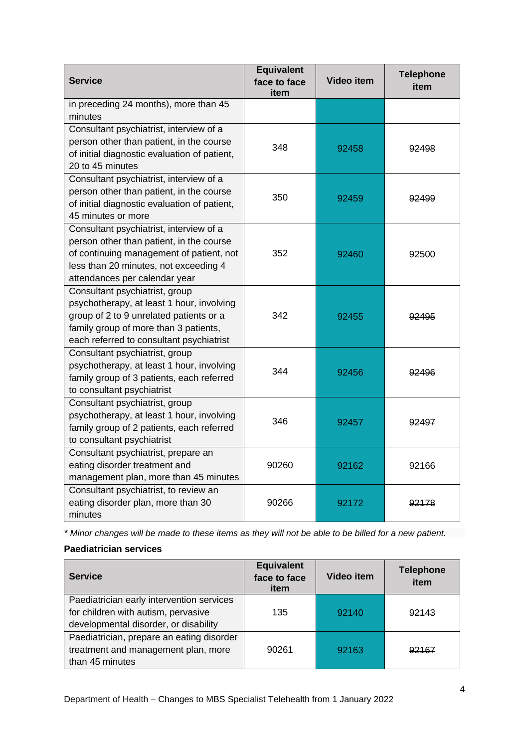| <b>Service</b>                                                                                                                                                                                              | <b>Equivalent</b><br>face to face<br>item | <b>Video item</b> | <b>Telephone</b><br>item |
|-------------------------------------------------------------------------------------------------------------------------------------------------------------------------------------------------------------|-------------------------------------------|-------------------|--------------------------|
| in preceding 24 months), more than 45<br>minutes                                                                                                                                                            |                                           |                   |                          |
| Consultant psychiatrist, interview of a<br>person other than patient, in the course<br>of initial diagnostic evaluation of patient,<br>20 to 45 minutes                                                     | 348                                       | 92458             | 92498                    |
| Consultant psychiatrist, interview of a<br>person other than patient, in the course<br>of initial diagnostic evaluation of patient,<br>45 minutes or more                                                   | 350                                       | 92459             | 92499                    |
| Consultant psychiatrist, interview of a<br>person other than patient, in the course<br>of continuing management of patient, not<br>less than 20 minutes, not exceeding 4<br>attendances per calendar year   | 352                                       | 92460             | 92500                    |
| Consultant psychiatrist, group<br>psychotherapy, at least 1 hour, involving<br>group of 2 to 9 unrelated patients or a<br>family group of more than 3 patients,<br>each referred to consultant psychiatrist | 342                                       | 92455             | 92495                    |
| Consultant psychiatrist, group<br>psychotherapy, at least 1 hour, involving<br>family group of 3 patients, each referred<br>to consultant psychiatrist                                                      | 344                                       | 92456             | 92496                    |
| Consultant psychiatrist, group<br>psychotherapy, at least 1 hour, involving<br>family group of 2 patients, each referred<br>to consultant psychiatrist                                                      | 346                                       | 92457             | 92497                    |
| Consultant psychiatrist, prepare an<br>eating disorder treatment and<br>management plan, more than 45 minutes                                                                                               | 90260                                     | 92162             | 92166                    |
| Consultant psychiatrist, to review an<br>eating disorder plan, more than 30<br>minutes                                                                                                                      | 90266                                     | 92172             | 92178                    |

*\* Minor changes will be made to these items as they will not be able to be billed for a new patient.*

## **Paediatrician services**

| <b>Service</b>                                                                                                            | <b>Equivalent</b><br>face to face<br>item | Video item | <b>Telephone</b><br>item |
|---------------------------------------------------------------------------------------------------------------------------|-------------------------------------------|------------|--------------------------|
| Paediatrician early intervention services<br>for children with autism, pervasive<br>developmental disorder, or disability | 135                                       | 92140      | 92143                    |
| Paediatrician, prepare an eating disorder<br>treatment and management plan, more<br>than 45 minutes                       | 90261                                     | 92163      | 92167                    |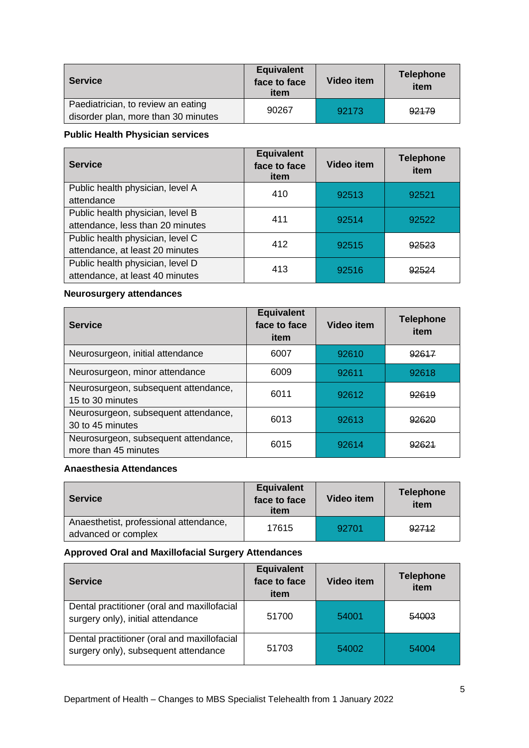| Service                                                                   | <b>Equivalent</b><br>face to face<br>item | Video item | <b>Telephone</b><br>item |
|---------------------------------------------------------------------------|-------------------------------------------|------------|--------------------------|
| Paediatrician, to review an eating<br>disorder plan, more than 30 minutes | 90267                                     | 92173      | 92179                    |

## **Public Health Physician services**

| <b>Service</b>                                                       | <b>Equivalent</b><br>face to face<br>item | Video item | <b>Telephone</b><br>item |
|----------------------------------------------------------------------|-------------------------------------------|------------|--------------------------|
| Public health physician, level A<br>attendance                       | 410                                       | 92513      | 92521                    |
| Public health physician, level B<br>attendance, less than 20 minutes | 411                                       | 92514      | 92522                    |
| Public health physician, level C<br>attendance, at least 20 minutes  | 412                                       | 92515      | 92523                    |
| Public health physician, level D<br>attendance, at least 40 minutes  | 413                                       | 92516      |                          |

## **Neurosurgery attendances**

| <b>Service</b>                                               | <b>Equivalent</b><br>face to face<br>item | Video item | <b>Telephone</b><br>item |
|--------------------------------------------------------------|-------------------------------------------|------------|--------------------------|
| Neurosurgeon, initial attendance                             | 6007                                      | 92610      | 92617                    |
| Neurosurgeon, minor attendance                               | 6009                                      | 92611      | 92618                    |
| Neurosurgeon, subsequent attendance,<br>15 to 30 minutes     | 6011                                      | 92612      | 92619                    |
| Neurosurgeon, subsequent attendance,<br>30 to 45 minutes     | 6013                                      | 92613      | 92620                    |
| Neurosurgeon, subsequent attendance,<br>more than 45 minutes | 6015                                      | 92614      | <u>02621</u>             |

## **Anaesthesia Attendances**

| <b>Service</b>                                                | <b>Equivalent</b><br>face to face<br>item | Video item | <b>Telephone</b><br>item |
|---------------------------------------------------------------|-------------------------------------------|------------|--------------------------|
| Anaesthetist, professional attendance,<br>advanced or complex | 17615                                     | 92701      | 92712                    |

### **Approved Oral and Maxillofacial Surgery Attendances**

| <b>Service</b>                                                                      | <b>Equivalent</b><br>face to face<br>item | Video item | <b>Telephone</b><br>item |
|-------------------------------------------------------------------------------------|-------------------------------------------|------------|--------------------------|
| Dental practitioner (oral and maxillofacial<br>surgery only), initial attendance    | 51700                                     | 54001      | 54003                    |
| Dental practitioner (oral and maxillofacial<br>surgery only), subsequent attendance | 51703                                     | 54002      | 54004                    |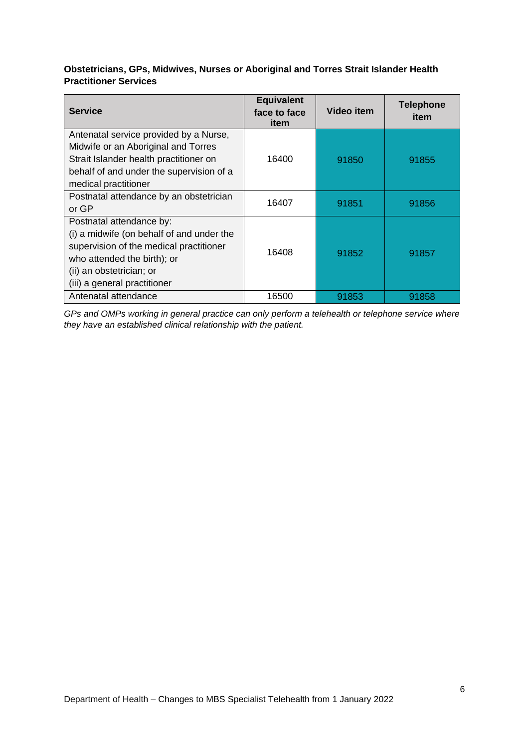## **Obstetricians, GPs, Midwives, Nurses or Aboriginal and Torres Strait Islander Health Practitioner Services**

| <b>Service</b>                                                                                                                                                                                              | <b>Equivalent</b><br>face to face<br>item | Video item | <b>Telephone</b><br>item |
|-------------------------------------------------------------------------------------------------------------------------------------------------------------------------------------------------------------|-------------------------------------------|------------|--------------------------|
| Antenatal service provided by a Nurse,<br>Midwife or an Aboriginal and Torres<br>Strait Islander health practitioner on<br>behalf of and under the supervision of a<br>medical practitioner                 | 16400                                     | 91850      | 91855                    |
| Postnatal attendance by an obstetrician<br>or GP                                                                                                                                                            | 16407                                     | 91851      | 91856                    |
| Postnatal attendance by:<br>(i) a midwife (on behalf of and under the<br>supervision of the medical practitioner<br>who attended the birth); or<br>(ii) an obstetrician; or<br>(iii) a general practitioner | 16408                                     | 91852      | 91857                    |
| Antenatal attendance                                                                                                                                                                                        | 16500                                     | 91853      | 91858                    |

*GPs and OMPs working in general practice can only perform a telehealth or telephone service where they have an established clinical relationship with the patient.*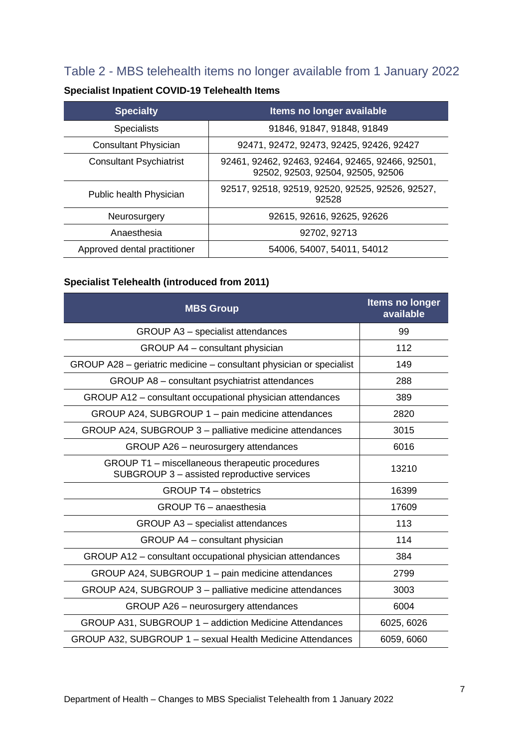# Table 2 - MBS telehealth items no longer available from 1 January 2022

| <b>Specialty</b>               | <b>Items no longer available</b>                                                      |
|--------------------------------|---------------------------------------------------------------------------------------|
| <b>Specialists</b>             | 91846, 91847, 91848, 91849                                                            |
| <b>Consultant Physician</b>    | 92471, 92472, 92473, 92425, 92426, 92427                                              |
| <b>Consultant Psychiatrist</b> | 92461, 92462, 92463, 92464, 92465, 92466, 92501,<br>92502, 92503, 92504, 92505, 92506 |
| Public health Physician        | 92517, 92518, 92519, 92520, 92525, 92526, 92527,<br>92528                             |
| Neurosurgery                   | 92615, 92616, 92625, 92626                                                            |
| Anaesthesia                    | 92702, 92713                                                                          |
| Approved dental practitioner   | 54006, 54007, 54011, 54012                                                            |

## **Specialist Inpatient COVID-19 Telehealth Items**

## **Specialist Telehealth (introduced from 2011)**

| <b>MBS Group</b>                                                                               | <b>Items no longer</b><br>available |
|------------------------------------------------------------------------------------------------|-------------------------------------|
| GROUP A3 - specialist attendances                                                              | 99                                  |
| GROUP A4 - consultant physician                                                                | 112                                 |
| GROUP A28 - geriatric medicine - consultant physician or specialist                            | 149                                 |
| GROUP A8 - consultant psychiatrist attendances                                                 | 288                                 |
| GROUP A12 - consultant occupational physician attendances                                      | 389                                 |
| GROUP A24, SUBGROUP 1 - pain medicine attendances                                              | 2820                                |
| GROUP A24, SUBGROUP 3 - palliative medicine attendances                                        | 3015                                |
| GROUP A26 - neurosurgery attendances                                                           | 6016                                |
| GROUP T1 - miscellaneous therapeutic procedures<br>SUBGROUP 3 - assisted reproductive services | 13210                               |
| <b>GROUP T4 - obstetrics</b>                                                                   | 16399                               |
| GROUP T6 - anaesthesia                                                                         | 17609                               |
| GROUP A3 - specialist attendances                                                              | 113                                 |
| GROUP A4 - consultant physician                                                                | 114                                 |
| GROUP A12 – consultant occupational physician attendances                                      | 384                                 |
| GROUP A24, SUBGROUP 1 - pain medicine attendances                                              | 2799                                |
| GROUP A24, SUBGROUP 3 - palliative medicine attendances                                        | 3003                                |
| GROUP A26 - neurosurgery attendances                                                           | 6004                                |
| GROUP A31, SUBGROUP 1 - addiction Medicine Attendances                                         | 6025, 6026                          |
| GROUP A32, SUBGROUP 1 - sexual Health Medicine Attendances                                     | 6059, 6060                          |